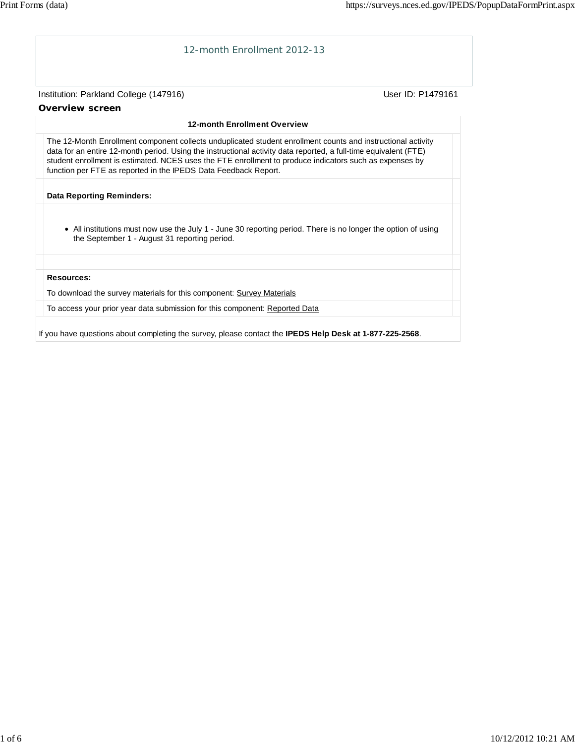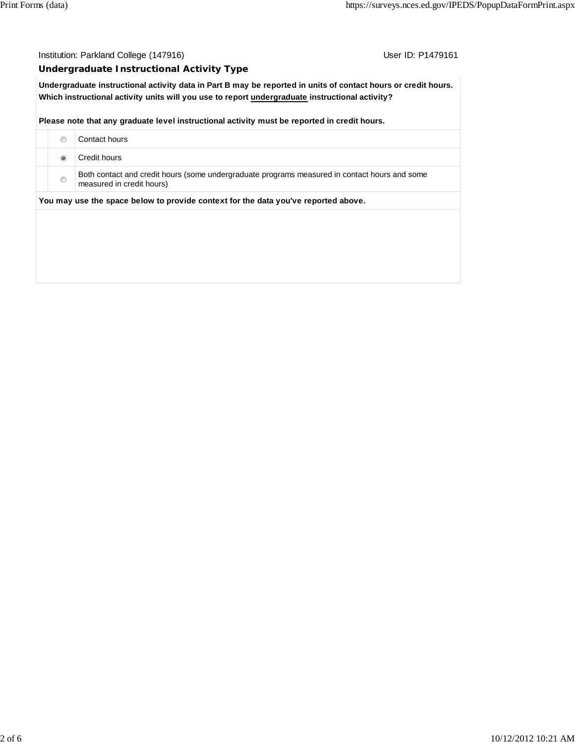## Institution: Parkland College (147916) Contact College (147916)

## **Undergraduate Instructional Activity Type**

**Undergraduate instructional activity data in Part B may be reported in units of contact hours or credit hours. Which instructional activity units will you use to report undergraduate instructional activity?**

**Please note that any graduate level instructional activity must be reported in credit hours.**

|                                                                                    | Contact hours                                                                                                              |  |  |  |  |  |
|------------------------------------------------------------------------------------|----------------------------------------------------------------------------------------------------------------------------|--|--|--|--|--|
|                                                                                    | Credit hours                                                                                                               |  |  |  |  |  |
| ⊙                                                                                  | Both contact and credit hours (some undergraduate programs measured in contact hours and some<br>measured in credit hours) |  |  |  |  |  |
| You may use the space below to provide context for the data you've reported above. |                                                                                                                            |  |  |  |  |  |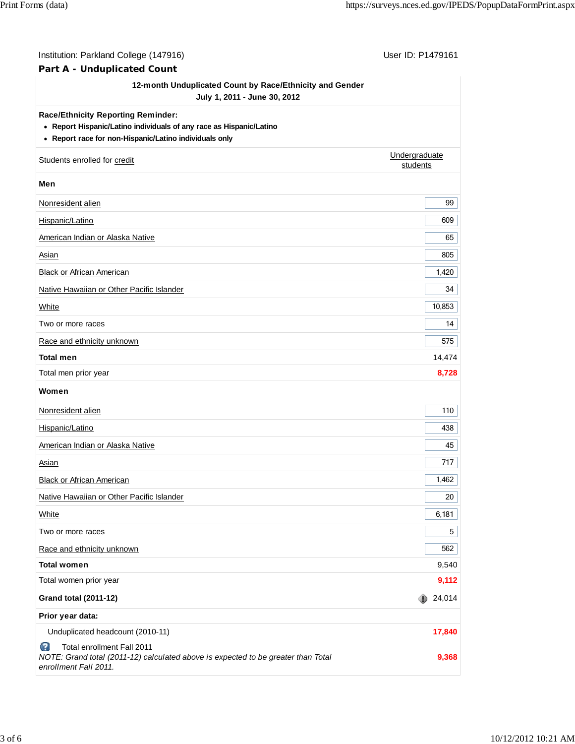| Institution: Parkland College (147916)                                                                                                                                                                                                                                                                                                                  | User ID: P1479161         |
|---------------------------------------------------------------------------------------------------------------------------------------------------------------------------------------------------------------------------------------------------------------------------------------------------------------------------------------------------------|---------------------------|
|                                                                                                                                                                                                                                                                                                                                                         |                           |
|                                                                                                                                                                                                                                                                                                                                                         |                           |
|                                                                                                                                                                                                                                                                                                                                                         |                           |
| • Report Hispanic/Latino individuals of any race as Hispanic/Latino                                                                                                                                                                                                                                                                                     |                           |
| • Report race for non-Hispanic/Latino individuals only                                                                                                                                                                                                                                                                                                  |                           |
| Part A - Unduplicated Count<br>12-month Unduplicated Count by Race/Ethnicity and Gender<br>July 1, 2011 - June 30, 2012<br><b>Race/Ethnicity Reporting Reminder:</b><br>Students enrolled for credit<br><b>Black or African American</b><br>Native Hawaiian or Other Pacific Islander<br>Race and ethnicity unknown<br>Unduplicated headcount (2010-11) | Undergraduate<br>students |
| Men                                                                                                                                                                                                                                                                                                                                                     |                           |
| Nonresident alien                                                                                                                                                                                                                                                                                                                                       | 99                        |
| Hispanic/Latino                                                                                                                                                                                                                                                                                                                                         | 609                       |
| American Indian or Alaska Native                                                                                                                                                                                                                                                                                                                        | 65                        |
| Asian                                                                                                                                                                                                                                                                                                                                                   | 805                       |
| <b>Black or African American</b>                                                                                                                                                                                                                                                                                                                        | 1,420                     |
| Native Hawaiian or Other Pacific Islander                                                                                                                                                                                                                                                                                                               | 34                        |
| White                                                                                                                                                                                                                                                                                                                                                   | 10,853                    |
| Two or more races                                                                                                                                                                                                                                                                                                                                       | 14                        |
| Race and ethnicity unknown                                                                                                                                                                                                                                                                                                                              | 575                       |
| <b>Total men</b>                                                                                                                                                                                                                                                                                                                                        | 14,474                    |
| Total men prior year                                                                                                                                                                                                                                                                                                                                    | 8,728                     |
| Women                                                                                                                                                                                                                                                                                                                                                   |                           |
| Nonresident alien                                                                                                                                                                                                                                                                                                                                       | 110                       |
| Hispanic/Latino                                                                                                                                                                                                                                                                                                                                         | 438                       |
| American Indian or Alaska Native                                                                                                                                                                                                                                                                                                                        | 45                        |
| Asian                                                                                                                                                                                                                                                                                                                                                   | 717                       |
|                                                                                                                                                                                                                                                                                                                                                         | 1,462                     |
|                                                                                                                                                                                                                                                                                                                                                         | 20                        |
| White                                                                                                                                                                                                                                                                                                                                                   | 6,181                     |
| Two or more races                                                                                                                                                                                                                                                                                                                                       | 5                         |
|                                                                                                                                                                                                                                                                                                                                                         | 562                       |
| <b>Total women</b>                                                                                                                                                                                                                                                                                                                                      | 9,540                     |
| Total women prior year                                                                                                                                                                                                                                                                                                                                  | 9,112                     |
| <b>Grand total (2011-12)</b>                                                                                                                                                                                                                                                                                                                            | 24,014                    |
| Prior year data:                                                                                                                                                                                                                                                                                                                                        |                           |
|                                                                                                                                                                                                                                                                                                                                                         | 17,840                    |
| ๏<br>Total enrollment Fall 2011<br>NOTE: Grand total (2011-12) calculated above is expected to be greater than Total<br>enrollment Fall 2011.                                                                                                                                                                                                           | 9,368                     |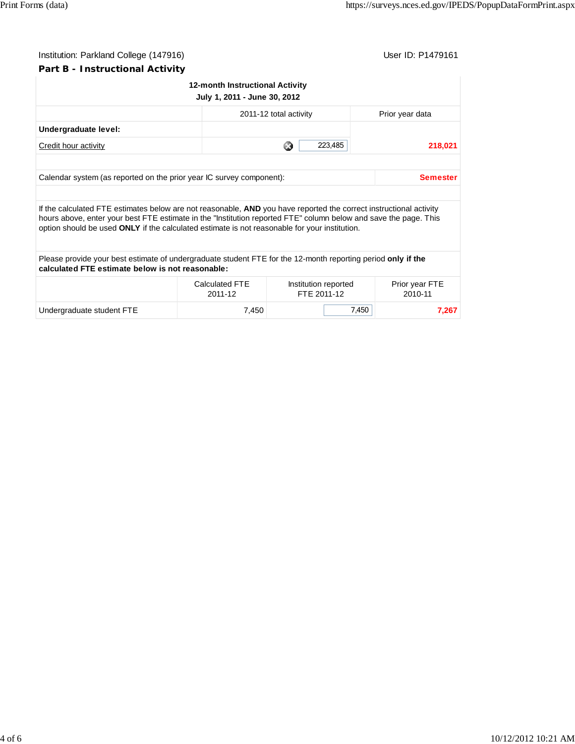| Institution: Parkland College (147916) |                                 | User ID: P1479161 |
|----------------------------------------|---------------------------------|-------------------|
| Part B - Instructional Activity        |                                 |                   |
|                                        | 12-month Instructional Activity |                   |
|                                        | July 1, 2011 - June 30, 2012    |                   |
|                                        | 2011-12 total activity          | Prior year data   |

|                                                                                                                                                                                                                                                                                                                                         |                                  | 2011-12 total activity              | Prior year data           |  |  |  |
|-----------------------------------------------------------------------------------------------------------------------------------------------------------------------------------------------------------------------------------------------------------------------------------------------------------------------------------------|----------------------------------|-------------------------------------|---------------------------|--|--|--|
| Undergraduate level:                                                                                                                                                                                                                                                                                                                    |                                  |                                     |                           |  |  |  |
| Credit hour activity                                                                                                                                                                                                                                                                                                                    |                                  | 223,485<br>ఴ                        | 218,021                   |  |  |  |
|                                                                                                                                                                                                                                                                                                                                         |                                  |                                     |                           |  |  |  |
| Calendar system (as reported on the prior year IC survey component):<br><b>Semester</b>                                                                                                                                                                                                                                                 |                                  |                                     |                           |  |  |  |
|                                                                                                                                                                                                                                                                                                                                         |                                  |                                     |                           |  |  |  |
| If the calculated FTE estimates below are not reasonable, AND you have reported the correct instructional activity<br>hours above, enter your best FTE estimate in the "Institution reported FTE" column below and save the page. This<br>option should be used ONLY if the calculated estimate is not reasonable for your institution. |                                  |                                     |                           |  |  |  |
| Please provide your best estimate of undergraduate student FTE for the 12-month reporting period only if the<br>calculated FTE estimate below is not reasonable:                                                                                                                                                                        |                                  |                                     |                           |  |  |  |
|                                                                                                                                                                                                                                                                                                                                         | <b>Calculated FTE</b><br>2011-12 | Institution reported<br>FTE 2011-12 | Prior year FTE<br>2010-11 |  |  |  |
| Undergraduate student FTE                                                                                                                                                                                                                                                                                                               | 7,450                            |                                     | 7,450<br>7,267            |  |  |  |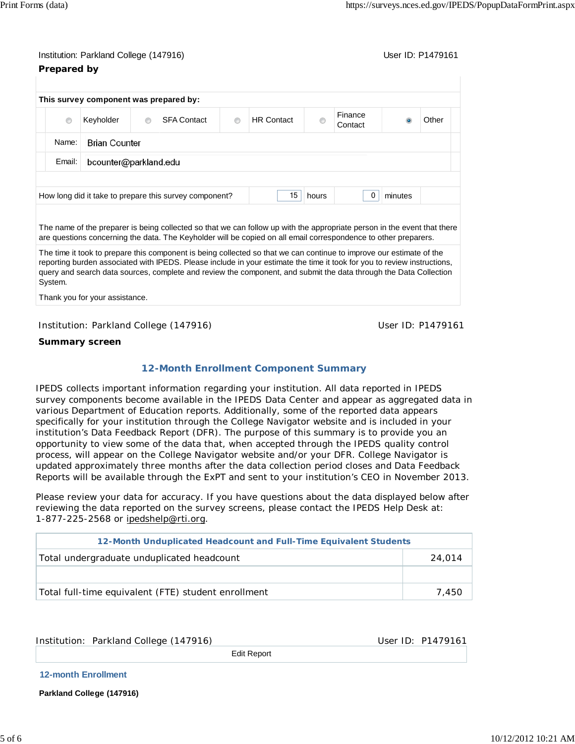## Institution: Parkland College (147916) November 2012 12:38:39 User ID: P1479161 **Prepared by**

|                                                                                       | This survey component was prepared by: |                |                                                                                                                          |         |                                                                                                                          |  |                    |  |       |
|---------------------------------------------------------------------------------------|----------------------------------------|----------------|--------------------------------------------------------------------------------------------------------------------------|---------|--------------------------------------------------------------------------------------------------------------------------|--|--------------------|--|-------|
| $\circledcirc$                                                                        | Keyholder                              | $\circledcirc$ | <b>SFA Contact</b>                                                                                                       | $\circ$ | <b>HR</b> Contact                                                                                                        |  | Finance<br>Contact |  | Other |
| <b>Brian Counter</b><br>Name:<br>Email:<br>bcounter@parkland.edu                      |                                        |                |                                                                                                                          |         |                                                                                                                          |  |                    |  |       |
|                                                                                       |                                        |                |                                                                                                                          |         |                                                                                                                          |  |                    |  |       |
|                                                                                       |                                        |                |                                                                                                                          |         |                                                                                                                          |  |                    |  |       |
| 15<br>How long did it take to prepare this survey component?<br>hours<br>minutes<br>0 |                                        |                |                                                                                                                          |         |                                                                                                                          |  |                    |  |       |
|                                                                                       |                                        |                |                                                                                                                          |         |                                                                                                                          |  |                    |  |       |
|                                                                                       |                                        |                | The name of the preparer is being collected so that we can follow up with the appropriate person in the event that there |         |                                                                                                                          |  |                    |  |       |
|                                                                                       |                                        |                | are questions concerning the data. The Keyholder will be copied on all email correspondence to other preparers.          |         |                                                                                                                          |  |                    |  |       |
|                                                                                       |                                        |                | The time it took to prepare this component is being collected so that we can continue to improve our estimate of the     |         | reporting burden associated with IPEDS. Please include in your estimate the time it took for you to review instructions, |  |                    |  |       |

Thank you for your assistance.

Institution: Parkland College (147916) Contract College (1479161

**Summary screen**

## **12-Month Enrollment Component Summary**

IPEDS collects important information regarding your institution. All data reported in IPEDS survey components become available in the IPEDS Data Center and appear as aggregated data in various Department of Education reports. Additionally, some of the reported data appears specifically for your institution through the College Navigator website and is included in your institution's Data Feedback Report (DFR). The purpose of this summary is to provide you an opportunity to view some of the data that, when accepted through the IPEDS quality control process, will appear on the College Navigator website and/or your DFR. College Navigator is updated approximately three months after the data collection period closes and Data Feedback Reports will be available through the ExPT and sent to your institution's CEO in November 2013.

Please review your data for accuracy. If you have questions about the data displayed below after reviewing the data reported on the survey screens, please contact the IPEDS Help Desk at: 1-877-225-2568 or ipedshelp@rti.org.

| 12-Month Unduplicated Headcount and Full-Time Equivalent Students |        |  |  |  |
|-------------------------------------------------------------------|--------|--|--|--|
| Total undergraduate unduplicated headcount                        | 24.014 |  |  |  |
|                                                                   |        |  |  |  |
| Total full-time equivalent (FTE) student enrollment               | 7.450  |  |  |  |

Institution: Parkland College (147916) Contract the User ID: P1479161

Edit Report

**12-month Enrollment** 

**Parkland College (147916)**